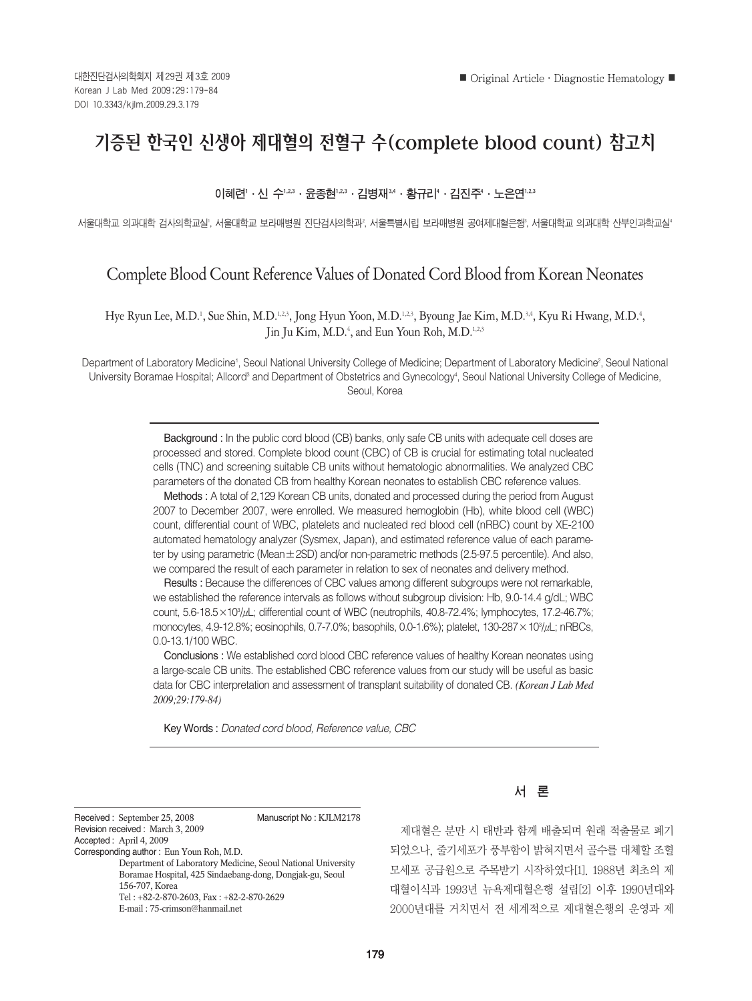# 기증된 한국인 신생아 제대혈의 전혈구 수(complete blood count) 참고치

## 이혜련'•신 수'¼°•윤종현'¼°•김병재¾•황규리'•김진주'•노은연'¼°

서울대학교 의과대학 검사의학교일, 서울대학교 보라매병원 진단검사의학과 $^{\circ}$ , 서울특별시립 보라매병원 공여제대혈은행', 서울대학교 의과대학 산부인과학교살'

## Complete Blood Count Reference Values of Donated Cord Blood from Korean Neonates

Hye Ryun Lee, M.D.<sup>1</sup>, Sue Shin, M.D.<sup>1.2,3</sup>, Jong Hyun Yoon, M.D.<sup>1.2,3</sup>, Byoung Jae Kim, M.D.<sup>3,4</sup>, Kyu Ri Hwang, M.D.<sup>4</sup>, Jin Ju Kim, M.D.<sup>4</sup>, and Eun Youn Roh, M.D.<sup>1,2,3</sup>

Department of Laboratory Medicine<sup>,</sup>, Seoul National University College of Medicine; Department of Laboratory Medicine<sup>2</sup>, Seoul National University Boramae Hospital; Allcord<sup>3</sup> and Department of Obstetrics and Gynecology<sup>4</sup>, Seoul National University College of Medicine, Seoul, Korea

> Background : In the public cord blood (CB) banks, only safe CB units with adequate cell doses are processed and stored. Complete blood count (CBC) of CB is crucial for estimating total nucleated cells (TNC) and screening suitable CB units without hematologic abnormalities. We analyzed CBC parameters of the donated CB from healthy Korean neonates to establish CBC reference values.

> Methods : A total of 2,129 Korean CB units, donated and processed during the period from August 2007 to December 2007, were enrolled. We measured hemoglobin (Hb), white blood cell (WBC) count, differential count of WBC, platelets and nucleated red blood cell (nRBC) count by XE-2100 automated hematology analyzer (Sysmex, Japan), and estimated reference value of each parameter by using parametric (Mean±2SD) and/or non-parametric methods (2.5-97.5 percentile). And also, we compared the result of each parameter in relation to sex of neonates and delivery method.

> Results : Because the differences of CBC values among different subgroups were not remarkable, we established the reference intervals as follows without subgroup division: Hb, 9.0-14.4 g/dL; WBC count, 5.6-18.5×103 /μL; differential count of WBC (neutrophils, 40.8-72.4%; lymphocytes, 17.2-46.7%; monocytes, 4.9-12.8%; eosinophils, 0.7-7.0%; basophils, 0.0-1.6%); platelet, 130-287 × 10<sup>3</sup>/µL; nRBCs, 0.0-13.1/100 WBC.

> Conclusions : We established cord blood CBC reference values of healthy Korean neonates using a large-scale CB units. The established CBC reference values from our study will be useful as basic data for CBC interpretation and assessment of transplant suitability of donated CB. *(Korean J Lab Med 2009;29:179-84)*

Key Words : *Donated cord blood, Reference value, CBC*

Received : September 25, 2008 Manuscript No : KJLM2178 Revision received : March 3, 2009 Accepted : April 4, 2009 Corresponding author : Eun Youn Roh, M.D. Department of Laboratory Medicine, Seoul National University Boramae Hospital, 425 Sindaebang-dong, Dongjak-gu, Seoul 156-707, Korea Tel : +82-2-870-2603, Fax : +82-2-870-2629 E-mail : 75-crimson@hanmail.net

## 서 론

제대혈은 분만 시 태반과 함께 배출되며 원래 적출물로 폐기 되었으나, 줄기세포가 풍부함이 밝혀지면서 골수를 대체할 조혈 모세포 공급원으로 주목받기 시작하였다[1]. 1988년 최초의 제 대혈이식과 1993년 뉴욕제대혈은행 설립[2] 이후 1990년대와 2000년대를 거치면서 전 세계적으로 제대혈은행의 운영과 제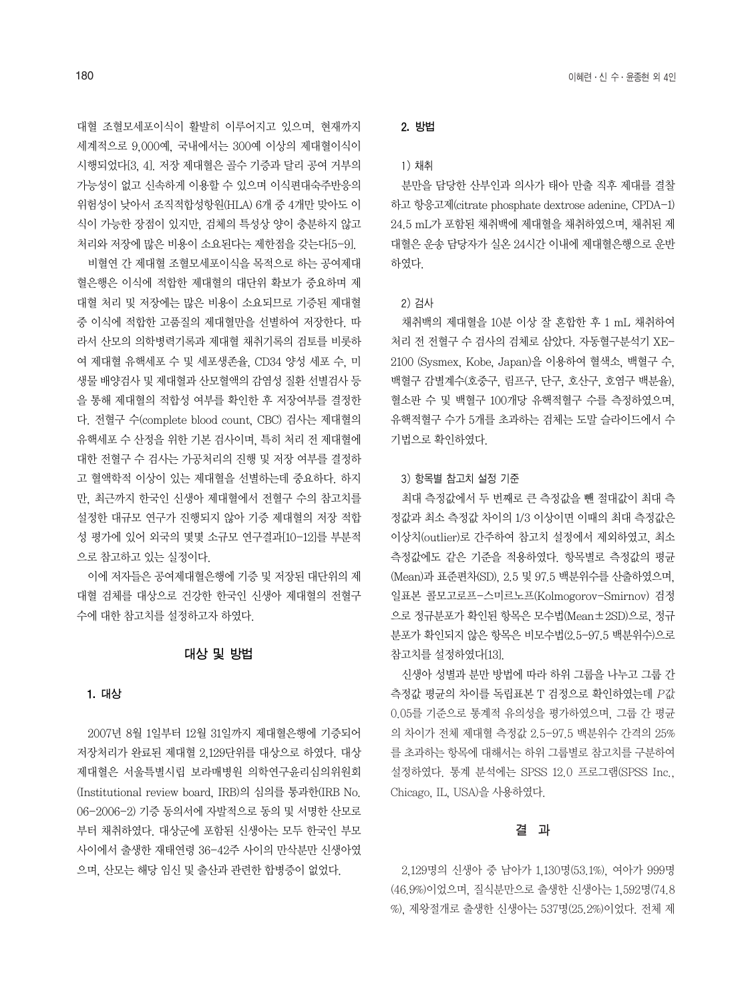대혈 조혈모세포이식이 활발히 이루어지고 있으며, 현재까지 세계적으로 9,000예, 국내에서는 300예 이상의 제대혈이식이 시행되었다[3, 4]. 저장 제대혈은 골수 기증과 달리 공여 거부의 가능성이 없고 신속하게 이용할 수 있으며 이식편대숙주반응의 위험성이 낮아서 조직적합성항원(HLA) 6개 중 4개만 맞아도 이 식이 가능한 장점이 있지만, 검체의 특성상 양이 충분하지 않고 처리와 저장에 많은 비용이 소요된다는 제한점을 갖는다[5-9].

비혈연 간 제대혈 조혈모세포이식을 목적으로 하는 공여제대 혈은행은 이식에 적합한 제대혈의 대단위 확보가 중요하며 제 대혈 처리 및 저장에는 많은 비용이 소요되므로 기증된 제대혈 중 이식에 적합한 고품질의 제대혈만을 선별하여 저장한다. 따 라서 산모의 의학병력기록과 제대혈 채취기록의 검토를 비롯하 여 제대혈 유핵세포 수 및 세포생존율, CD34 양성 세포 수, 미 생물 배양검사 및 제대혈과 산모혈액의 감염성 질환 선별검사 등 을 통해 제대혈의 적합성 여부를 확인한 후 저장여부를 결정한 다. 전혈구 수(complete blood count, CBC) 검사는 제대혈의 유핵세포 수 산정을 위한 기본 검사이며, 특히 처리 전 제대혈에 대한 전혈구 수 검사는 가공처리의 진행 및 저장 여부를 결정하 고 혈액학적 이상이 있는 제대혈을 선별하는데 중요하다. 하지 만, 최근까지 한국인 신생아 제대혈에서 전혈구 수의 참고치를 설정한 대규모 연구가 진행되지 않아 기증 제대혈의 저장 적합 성 평가에 있어 외국의 몇몇 소규모 연구결과[10-12]를 부분적 으로 참고하고 있는 실정이다.

이에 저자들은 공여제대혈은행에 기증 및 저장된 대단위의 제 대혈 검체를 대상으로 건강한 한국인 신생아 제대혈의 전혈구 수에 대한 참고치를 설정하고자 하였다.

### 대상 및 방법

#### 1. 대상

2007년 8월 1일부터 12월 31일까지 제대혈은행에 기증되어 저장처리가 완료된 제대혈 2,129단위를 대상으로 하였다. 대상 제대혈은 서울특별시립 보라매병원 의학연구윤리심의위원회 (Institutional review board, IRB)의 심의를 통과한(IRB No. 06-2006-2) 기증 동의서에 자발적으로 동의 및 서명한 산모로 부터 채취하였다. 대상군에 포함된 신생아는 모두 한국인 부모 사이에서 출생한 재태연령 36-42주 사이의 만삭분만 신생아였 으며, 산모는 해당 임신 및 출산과 관련한 합병증이 없었다.

## 2. 방법

#### 1) 채취

분만을 담당한 산부인과 의사가 태아 만출 직후 제대를 결찰 하고 항응고제(citrate phosphate dextrose adenine, CPDA-1) 24.5 mL가 포함된 채취백에 제대혈을 채취하였으며, 채취된 제 대혈은 운송 담당자가 실온 24시간 이내에 제대혈은행으로 운반 하였다

#### 2) 검사

채취백의 제대혈을 10분 이상 잘 혼합한 후 1 mL 채취하여 처리 전 전혈구 수 검사의 검체로 삼았다. 자동혈구분석기 XE-2100 (Sysmex, Kobe, Japan)을 이용하여 혈색소, 백혈구 수, 백혈구 감별계수(호중구, 림프구, 단구, 호산구, 호염구 백분율), 혈소판 수 및 백혈구 100개당 유핵적혈구 수를 측정하였으며, 유핵적혈구 수가 5개를 초과하는 검체는 도말 슬라이드에서 수 기법으로 확인하였다.

#### 3) 항목별 참고치 설정 기준

최대 측정값에서 두 번째로 큰 측정값을 뺀 절대값이 최대 측 정값과 최소 측정값 차이의 1/3 이상이면 이때의 최대 측정값은 이상치(outlier)로 간주하여 참고치 설정에서 제외하였고, 최소 측정값에도 같은 기준을 적용하였다. 항목별로 측정값의 평균 (Mean)과 표준편차(SD), 2.5 및 97.5 백분위수를 산출하였으며, 일표본 콜모고로프-스미르노프(Kolmogorov-Smirnov) 검정 으로 정규분포가 확인된 항목은 모수법(Mean±2SD)으로, 정규 분포가 확인되지 않은 항목은 비모수법(2.5-97.5 백분위수)으로 참고치를 설정하였다[13].

신생아 성별과 분만 방법에 따라 하위 그룹을 나누고 그룹 간 측정값 평균의 차이를 독립표본 T 검정으로 확인하였는데 P값 0.05를 기준으로 통계적 유의성을 평가하였으며, 그룹 간 평균 의 차이가 전체 제대혈 측정값 2.5-97.5 백분위수 간격의 25% 를 초과하는 항목에 대해서는 하위 그룹별로 참고치를 구분하여 설정하였다. 통계 분석에는 SPSS 12.0 프로그램(SPSS Inc., Chicago, IL, USA)을 사용하였다.

#### 결 과

2,129명의 신생아 중 남아가 1,130명(53.1%), 여아가 999명 (46.9%)이었으며, 질식분만으로 출생한 신생아는 1,592명(74.8 %), 제왕절개로 출생한 신생아는 537명(25.2%)이었다. 전체 제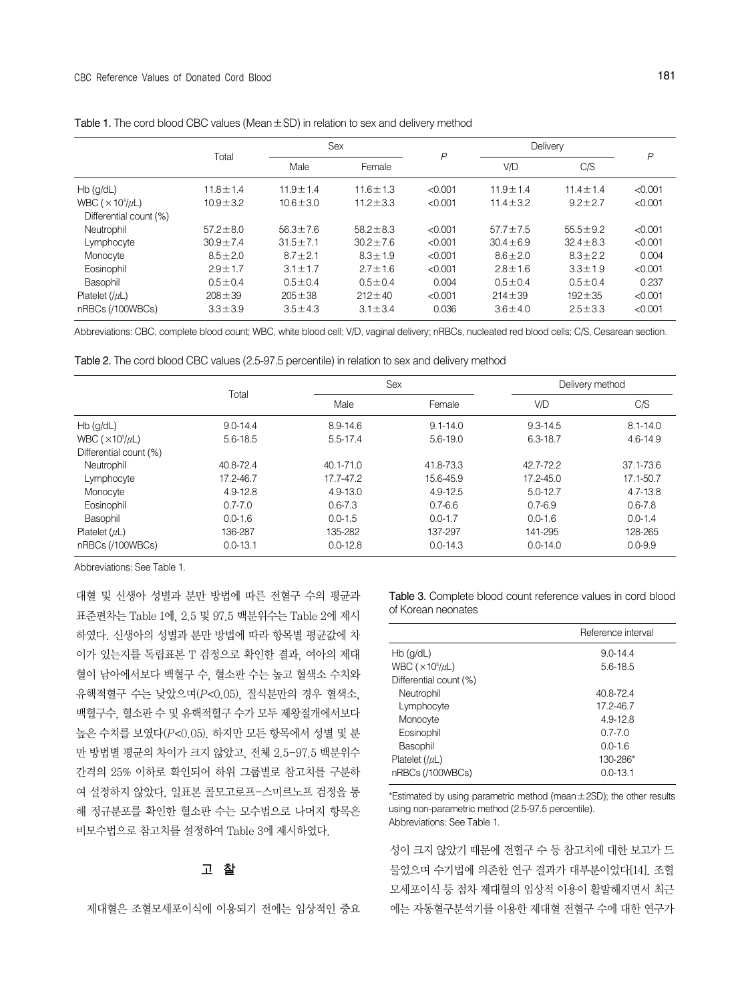|                                           | Total          | Sex            |                | P       | Delivery       |                | $\mathsf{P}$ |  |
|-------------------------------------------|----------------|----------------|----------------|---------|----------------|----------------|--------------|--|
|                                           |                | Male           | Female         |         | V/D            | C/S            |              |  |
| $Hb$ (g/dL)                               | $11.8 \pm 1.4$ | $11.9 \pm 1.4$ | $11.6 \pm 1.3$ | < 0.001 | $11.9 \pm 1.4$ | $11.4 \pm 1.4$ | < 0.001      |  |
| WBC ( $\times$ 10 <sup>3</sup> / $\mu$ L) | $10.9 \pm 3.2$ | $10.6 \pm 3.0$ | $11.2 \pm 3.3$ | < 0.001 | $11.4 \pm 3.2$ | $9.2 + 2.7$    | < 0.001      |  |
| Differential count (%)                    |                |                |                |         |                |                |              |  |
| Neutrophil                                | $57.2 \pm 8.0$ | $56.3 \pm 7.6$ | $58.2 \pm 8.3$ | < 0.001 | $57.7 \pm 7.5$ | $55.5 \pm 9.2$ | < 0.001      |  |
| Lymphocyte                                | $30.9 \pm 7.4$ | $31.5 \pm 7.1$ | $30.2 \pm 7.6$ | < 0.001 | $30.4 \pm 6.9$ | $32.4 \pm 8.3$ | < 0.001      |  |
| Monocyte                                  | $8.5 \pm 2.0$  | $8.7 \pm 2.1$  | $8.3 \pm 1.9$  | < 0.001 | $8.6 \pm 2.0$  | $8.3 \pm 2.2$  | 0.004        |  |
| Eosinophil                                | $2.9 \pm 1.7$  | $3.1 \pm 1.7$  | $2.7 \pm 1.6$  | < 0.001 | $2.8 \pm 1.6$  | $3.3 \pm 1.9$  | < 0.001      |  |
| Basophil                                  | $0.5 \pm 0.4$  | $0.5 \pm 0.4$  | $0.5 \pm 0.4$  | 0.004   | $0.5 \pm 0.4$  | $0.5 \pm 0.4$  | 0.237        |  |
| Platelet $( \mu )$                        | $208 + 39$     | $205 \pm 38$   | $212 \pm 40$   | < 0.001 | $214 \pm 39$   | $192 \pm 35$   | < 0.001      |  |
| nRBCs (/100WBCs)                          | $3.3 + 3.9$    | $3.5 \pm 4.3$  | $3.1 \pm 3.4$  | 0.036   | $3.6 \pm 4.0$  | $2.5 \pm 3.3$  | < 0.001      |  |

| Table 1. The cord blood CBC values (Mean $\pm$ SD) in relation to sex and delivery method |  |  |  |
|-------------------------------------------------------------------------------------------|--|--|--|
|-------------------------------------------------------------------------------------------|--|--|--|

Abbreviations: CBC, complete blood count; WBC, white blood cell; V/D, vaginal delivery; nRBCs, nucleated red blood cells; C/S, Cesarean section.

Table 2. The cord blood CBC values (2.5-97.5 percentile) in relation to sex and delivery method

|                                           | Total        |               | <b>Sex</b>   |               | Delivery method |  |
|-------------------------------------------|--------------|---------------|--------------|---------------|-----------------|--|
|                                           |              | Male          | Female       | V/D           | C/S             |  |
| $Hb$ (g/dL)                               | $9.0 - 14.4$ | 8.9-14.6      | $9.1 - 14.0$ | $9.3 - 14.5$  | $8.1 - 14.0$    |  |
| WBC ( $\times$ 10 <sup>3</sup> / $\mu$ L) | 5.6-18.5     | $5.5 - 17.4$  | 5.6-19.0     | $6.3 - 18.7$  | 4.6-14.9        |  |
| Differential count (%)                    |              |               |              |               |                 |  |
| Neutrophil                                | 40.8-72.4    | $40.1 - 71.0$ | 41.8-73.3    | 42.7-72.2     | 37.1-73.6       |  |
| Lymphocyte                                | 17.2-46.7    | 17.7-47.2     | 15.6-45.9    | $17.2 - 45.0$ | 17.1-50.7       |  |
| Monocyte                                  | 4.9-12.8     | $4.9 - 13.0$  | 4.9-12.5     | $5.0 - 12.7$  | 4.7-13.8        |  |
| Eosinophil                                | $0.7 - 7.0$  | $0.6 - 7.3$   | $0.7 - 6.6$  | $0.7 - 6.9$   | $0.6 - 7.8$     |  |
| Basophil                                  | $0.0 - 1.6$  | $0.0 - 1.5$   | $0.0 - 1.7$  | $0.0 - 1.6$   | $0.0 - 1.4$     |  |
| Platelet $(\mu L)$                        | 136-287      | 135-282       | 137-297      | 141-295       | 128-265         |  |
| nRBCs (/100WBCs)                          | $0.0 - 13.1$ | $0.0 - 12.8$  | $0.0 - 14.3$ | $0.0 - 14.0$  | $0.0 - 9.9$     |  |

Abbreviations: See Table 1.

대혈 및 신생아 성별과 분만 방법에 따른 전혈구 수의 평균과 표준편차는 Table 1에, 2.5 및 97.5 백분위수는 Table 2에 제시 하였다. 신생아의 성별과 분만 방법에 따라 항목별 평균값에 차 이가 있는지를 독립표본 T 검정으로 확인한 결과, 여아의 제대 혈이 남아에서보다 백혈구 수, 혈소판 수는 높고 혈색소 수치와 유핵적혈구 수는 낮았으며(P<0.05), 질식분만의 경우 혈색소, 백혈구수, 혈소판 수 및 유핵적혈구 수가 모두 제왕절개에서보다 높은 수치를 보였다(P<0.05). 하지만 모든 항목에서 성별 및 분 만 방법별 평균의 차이가 크지 않았고, 전체 2.5-97.5 백분위수 간격의 25% 이하로 확인되어 하위 그룹별로 참고치를 구분하 여 설정하지 않았다. 일표본 콜모고로프-스미르노프 검정을 통 해 정규분포를 확인한 혈소판 수는 모수법으로 나머지 항목은 비모수법으로 참고치를 설정하여 Table 3에 제시하였다.

## 고 찰

제대혈은 조혈모세포이식에 이용되기 전에는 임상적인 중요

Table 3. Complete blood count reference values in cord blood of Korean neonates

|                                           | Reference interval |
|-------------------------------------------|--------------------|
| $Hb$ (g/dL)                               | $9.0 - 14.4$       |
| WBC ( $\times$ 10 <sup>3</sup> / $\mu$ L) | $5.6 - 18.5$       |
| Differential count (%)                    |                    |
| Neutrophil                                | 40.8-72.4          |
| Lymphocyte                                | 17.2-46.7          |
| Monocyte                                  | 4.9-12.8           |
| Eosinophil                                | $0.7 - 7.0$        |
| Basophil                                  | $0.0 - 1.6$        |
| Platelet $( \mu )$                        | 130-286*           |
| nRBCs (/100WBCs)                          | $0.0 - 13.1$       |

\*Estimated by using parametric method (mean±2SD); the other results using non-parametric method (2.5-97.5 percentile). Abbreviations: See Table 1.

성이 크지 않았기 때문에 전혈구 수 등 참고치에 대한 보고가 드 물었으며 수기법에 의존한 연구 결과가 대부분이었다[14]. 조혈 모세포이식 등 점차 제대혈의 임상적 이용이 활발해지면서 최근 에는 자동혈구분석기를 이용한 제대혈 전혈구 수에 대한 연구가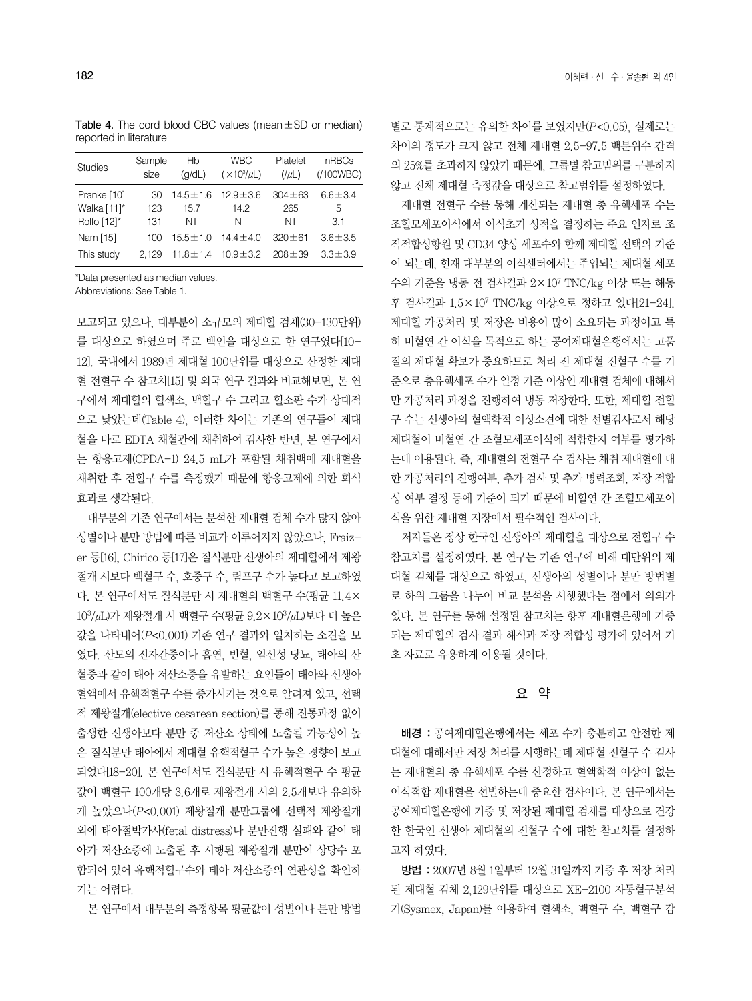Table 4. The cord blood CBC values (mean±SD or median) reported in literature

| <b>Studies</b> | Sample | Hb             | <b>WBC</b>            | Platelet       | nRBCs         |
|----------------|--------|----------------|-----------------------|----------------|---------------|
|                | size   | (q/dL)         | $(\times 10^3/\mu L)$ | $($ / $\mu$ L) | (100WBC)      |
| Pranke [10]    | 30     | $14.5 \pm 1.6$ | $12.9 \pm 3.6$        | $304 + 63$     | $6.6 \pm 3.4$ |
| Walka [11]*    | 123    | 15.7           | 14.2                  | 265            | 5             |
| Rolfo [12]*    | 131    | ΝT             | NΤ                    | ΝT             | 31            |
| Nam [15]       | 100    | $15.5 \pm 1.0$ | $14.4 \pm 4.0$        | $320 + 61$     | $3.6 \pm 3.5$ |
| This study     | 2.129  | $11.8 \pm 1.4$ | $10.9 \pm 3.2$        | $208 + 39$     | $3.3 \pm 3.9$ |

\*Data presented as median values.

Abbreviations: See Table 1.

보고되고 있으나, 대부분이 소규모의 제대혈 검체(30-130단위) 를 대상으로 하였으며 주로 백인을 대상으로 한 연구였다[10- 12]. 국내에서 1989년 제대혈 100단위를 대상으로 산정한 제대 혈 전혈구 수 참고치[15] 및 외국 연구 결과와 비교해보면, 본 연 구에서 제대혈의 혈색소, 백혈구 수 그리고 혈소판 수가 상대적 으로 낮았는데(Table 4), 이러한 차이는 기존의 연구들이 제대 혈을 바로 EDTA 채혈관에 채취하여 검사한 반면, 본 연구에서 는 항응고제(CPDA-1) 24.5 mL가 포함된 채취백에 제대혈을 채취한 후 전혈구 수를 측정했기 때문에 항응고제에 의한 희석 효과로 생각된다.

대부분의 기존 연구에서는 분석한 제대혈 검체 수가 많지 않아 성별이나 분만 방법에 따른 비교가 이루어지지 않았으나, Fraizer 등[16], Chirico 등[17]은 질식분만 신생아의 제대혈에서 제왕 절개 시보다 백혈구 수, 호중구 수, 림프구 수가 높다고 보고하였 다. 본 연구에서도 질식분만 시 제대혈의 백혈구 수(평균 11.4× 103/μL)가 제왕절개 시 백혈구 수(평균 9.2×103/μL)보다 더 높은 값을 나타내어(P<0.001) 기존 연구 결과와 일치하는 소견을 보 였다. 산모의 전자간증이나 흡연, 빈혈, 임신성 당뇨, 태아의 산 혈증과 같이 태아 저산소증을 유발하는 요인들이 태아와 신생아 혈액에서 유핵적혈구 수를 증가시키는 것으로 알려져 있고, 선택 적 제왕절개(elective cesarean section)를 통해 진통과정 없이 출생한 신생아보다 분만 중 저산소 상태에 노출될 가능성이 높 은 질식분만 태아에서 제대혈 유핵적혈구 수가 높은 경향이 보고 되었다[18-20]. 본 연구에서도 질식분만 시 유핵적혈구 수 평균 값이 백혈구 100개당 3.6개로 제왕절개 시의 2.5개보다 유의하 게 높았으나(P<0.001) 제왕절개 분만그룹에 선택적 제왕절개 외에 태아절박가사(fetal distress)나 분만진행 실패와 같이 태 아가 저산소증에 노출된 후 시행된 제왕절개 분만이 상당수 포 함되어 있어 유핵적혈구수와 태아 저산소증의 연관성을 확인하 기는 어렵다.

본 연구에서 대부분의 측정항목 평균값이 성별이나 분만 방법

별로 통계적으로는 유의한 차이를 보였지만(P<0.05), 실제로는 차이의 정도가 크지 않고 전체 제대혈 2.5-97.5 백분위수 간격 의 25%를 초과하지 않았기 때문에, 그룹별 참고범위를 구분하지 않고 전체 제대혈 측정값을 대상으로 참고범위를 설정하였다.

제대혈 전혈구 수를 통해 계산되는 제대혈 총 유핵세포 수는 조혈모세포이식에서 이식초기 성적을 결정하는 주요 인자로 조 직적합성항원 및 CD34 양성 세포수와 함께 제대혈 선택의 기준 이 되는데, 현재 대부분의 이식센터에서는 주입되는 제대혈 세포 수의 기준을 냉동 전 검사결과 2×107 TNC/kg 이상 또는 해동 후 검사결과 1.5×107 TNC/kg 이상으로 정하고 있다[21-24]. 제대혈 가공처리 및 저장은 비용이 많이 소요되는 과정이고 특 히 비혈연 간 이식을 목적으로 하는 공여제대혈은행에서는 고품 질의 제대혈 확보가 중요하므로 처리 전 제대혈 전혈구 수를 기 준으로 총유핵세포 수가 일정 기준 이상인 제대혈 검체에 대해서 만 가공처리 과정을 진행하여 냉동 저장한다. 또한, 제대혈 전혈 구 수는 신생아의 혈액학적 이상소견에 대한 선별검사로서 해당 제대혈이 비혈연 간 조혈모세포이식에 적합한지 여부를 평가하 는데 이용된다. 즉, 제대혈의 전혈구 수 검사는 채취 제대혈에 대 한 가공처리의 진행여부, 추가 검사 및 추가 병력조회, 저장 적합 성 여부 결정 등에 기준이 되기 때문에 비혈연 간 조혈모세포이 식을 위한 제대혈 저장에서 필수적인 검사이다.

저자들은 정상 한국인 신생아의 제대혈을 대상으로 전혈구 수 참고치를 설정하였다. 본 연구는 기존 연구에 비해 대단위의 제 대혈 검체를 대상으로 하였고, 신생아의 성별이나 분만 방법별 로 하위 그룹을 나누어 비교 분석을 시행했다는 점에서 의의가 있다. 본 연구를 통해 설정된 참고치는 향후 제대혈은행에 기증 되는 제대혈의 검사 결과 해석과 저장 적합성 평가에 있어서 기 초 자료로 유용하게 이용될 것이다.

#### 요 약

배경 : 공여제대혈은행에서는 세포 수가 충분하고 안전한 제 대혈에 대해서만 저장 처리를 시행하는데 제대혈 전혈구 수 검사 는 제대혈의 총 유핵세포 수를 산정하고 혈액학적 이상이 없는 이식적합 제대혈을 선별하는데 중요한 검사이다. 본 연구에서는 공여제대혈은행에 기증 및 저장된 제대혈 검체를 대상으로 건강 한 한국인 신생아 제대혈의 전혈구 수에 대한 참고치를 설정하 고자 하였다.

방법 : 2007년 8월 1일부터 12월 31일까지 기증 후 저장 처리 된 제대혈 검체 2,129단위를 대상으로 XE-2100 자동혈구분석 기(Sysmex, Japan)를 이용하여 혈색소, 백혈구 수, 백혈구 감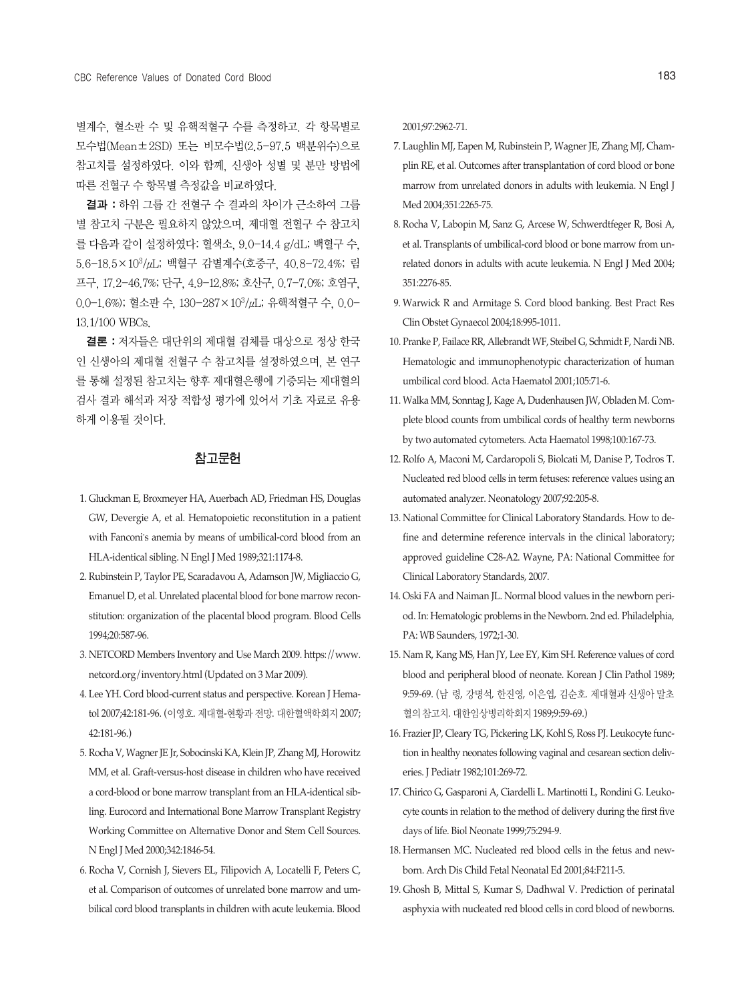별계수, 혈소판 수 및 유핵적혈구 수를 측정하고. 각 항목별로 모수법(Mean±2SD) 또는 비모수법(2.5-97.5 백분위수)으로 참고치를 설정하였다. 이와 함께, 신생아 성별 및 분만 방법에 따른 전혈구 수 항목별 측정값을 비교하였다.

결과 : 하위 그룹 간 전혈구 수 결과의 차이가 근소하여 그룹 별 참고치 구분은 필요하지 않았으며, 제대혈 전혈구 수 참고치 를 다음과 같이 설정하였다: 혈색소, 9.0-14.4 g/dL; 백혈구 수, 5.6-18.5×103/μL; 백혈구 감별계수(호중구, 40.8-72.4%; 림 프구, 17.2-46.7%; 단구, 4.9-12.8%; 호산구, 0.7-7.0%; 호염구, 0.0-1.6%); 혈소판 수, 130-287×103/μL; 유핵적혈구 수, 0.0- 13.1/100 WBCs.

결론 : 저자들은 대단위의 제대혈 검체를 대상으로 정상 한국 인 신생아의 제대혈 전혈구 수 참고치를 설정하였으며, 본 연구 를 통해 설정된 참고치는 향후 제대혈은행에 기증되는 제대혈의 검사 결과 해석과 저장 적합성 평가에 있어서 기초 자료로 유용 하게 이용될 것이다.

## 참고문헌

- 1. Gluckman E, Broxmeyer HA, Auerbach AD, Friedman HS, Douglas GW, Devergie A, et al. Hematopoietic reconstitution in a patient with Fanconi's anemia by means of umbilical-cord blood from an HLA-identical sibling. N Engl J Med 1989;321:1174-8.
- 2. Rubinstein P, Taylor PE, Scaradavou A, Adamson JW, Migliaccio G, Emanuel D, et al. Unrelated placental blood for bone marrow reconstitution: organization of the placental blood program. Blood Cells 1994;20:587-96.
- 3. NETCORD Members Inventory and Use March 2009. https://www. netcord.org/inventory.html (Updated on 3 Mar 2009).
- 4. Lee YH. Cord blood-current status and perspective. Korean J Hematol 2007;42:181-96. (이영호. 제대혈-현황과 전망. 대한혈액학회지 2007; 42:181-96.)
- 5. Rocha V, Wagner JE Jr, Sobocinski KA, Klein JP, Zhang MJ, Horowitz MM, et al. Graft-versus-host disease in children who have received a cord-blood or bone marrow transplant from an HLA-identical sibling. Eurocord and International Bone Marrow Transplant Registry Working Committee on Alternative Donor and Stem Cell Sources. N Engl J Med 2000;342:1846-54.
- 6. Rocha V, Cornish J, Sievers EL, Filipovich A, Locatelli F, Peters C, et al. Comparison of outcomes of unrelated bone marrow and umbilical cord blood transplants in children with acute leukemia. Blood

2001;97:2962-71.

- 7. Laughlin MJ, Eapen M, Rubinstein P, Wagner JE, Zhang MJ, Champlin RE, et al. Outcomes after transplantation of cord blood or bone marrow from unrelated donors in adults with leukemia. N Engl J Med 2004;351:2265-75.
- 8. Rocha V, Labopin M, Sanz G, Arcese W, Schwerdtfeger R, Bosi A, et al. Transplants of umbilical-cord blood or bone marrow from unrelated donors in adults with acute leukemia. N Engl J Med 2004; 351:2276-85.
- 9. Warwick R and Armitage S. Cord blood banking. Best Pract Res Clin Obstet Gynaecol 2004;18:995-1011.
- 10. Pranke P, Failace RR, Allebrandt WF, Steibel G, Schmidt F, Nardi NB. Hematologic and immunophenotypic characterization of human umbilical cord blood. Acta Haematol 2001;105:71-6.
- 11. Walka MM, Sonntag J, Kage A, Dudenhausen JW, Obladen M. Complete blood counts from umbilical cords of healthy term newborns by two automated cytometers. Acta Haematol 1998;100:167-73.
- 12. Rolfo A, Maconi M, Cardaropoli S, Biolcati M, Danise P, Todros T. Nucleated red blood cells in term fetuses: reference values using an automated analyzer. Neonatology 2007;92:205-8.
- 13. National Committee for Clinical Laboratory Standards. How to define and determine reference intervals in the clinical laboratory; approved guideline C28-A2. Wayne, PA: National Committee for Clinical Laboratory Standards, 2007.
- 14. Oski FA and Naiman JL. Normal blood values in the newborn period. In: Hematologic problems in the Newborn. 2nd ed. Philadelphia, PA: WB Saunders, 1972;1-30.
- 15. Nam R, Kang MS, Han JY, Lee EY, Kim SH. Reference values of cord blood and peripheral blood of neonate. Korean J Clin Pathol 1989; 9:59-69. (남 령, 강명석, 한진영, 이은엽, 김순호. 제대혈과신생아말초 혈의참고치. 대한임상병리학회지1989;9:59-69.)
- 16. Frazier JP, Cleary TG, Pickering LK, Kohl S, Ross PJ. Leukocyte function in healthy neonates following vaginal and cesarean section deliveries. J Pediatr 1982;101:269-72.
- 17. Chirico G, Gasparoni A, Ciardelli L. Martinotti L, Rondini G. Leukocyte counts in relation to the method of delivery during the first five days of life. Biol Neonate 1999;75:294-9.
- 18. Hermansen MC. Nucleated red blood cells in the fetus and newborn. Arch Dis Child Fetal Neonatal Ed 2001;84:F211-5.
- 19. Ghosh B, Mittal S, Kumar S, Dadhwal V. Prediction of perinatal asphyxia with nucleated red blood cells in cord blood of newborns.